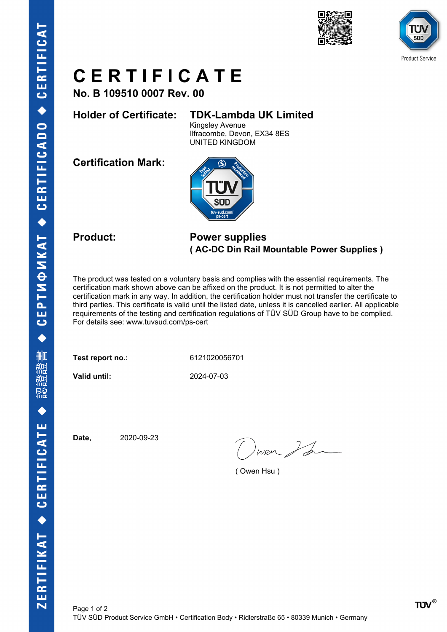



## **C E R T I F I C A T E**

**No. B 109510 0007 Rev. 00**

### **Holder of Certificate: TDK-Lambda UK Limited**

Kingsley Avenue Ilfracombe, Devon, EX34 8ES UNITED KINGDOM

**Certification Mark:**



#### **Product: Power supplies ( AC-DC Din Rail Mountable Power Supplies )**

The product was tested on a voluntary basis and complies with the essential requirements. The certification mark shown above can be affixed on the product. It is not permitted to alter the certification mark in any way. In addition, the certification holder must not transfer the certificate to third parties. This certificate is valid until the listed date, unless it is cancelled earlier. All applicable requirements of the testing and certification regulations of TÜV SÜD Group have to be complied. For details see: www.tuvsud.com/ps-cert

**Test report no.:** 6121020056701

**Valid until:** 2024-07-03

**Date,** 2020-09-23

wer I for

( Owen Hsu )